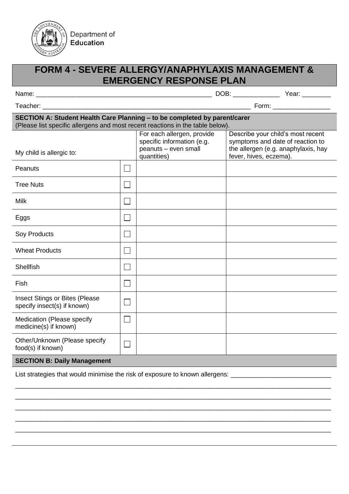

## **FORM 4 - SEVERE ALLERGY/ANAPHYLAXIS MANAGEMENT & EMERGENCY RESPONSE PLAN**

| Name: |  |
|-------|--|
|-------|--|

\_\_\_\_ DOB: \_\_\_\_\_\_\_\_\_\_\_\_\_\_\_\_ Year: \_\_\_\_\_\_\_\_\_

Teacher: \_\_\_\_\_\_\_\_\_\_\_\_\_\_\_\_\_\_\_\_\_\_\_\_\_\_\_\_\_\_\_\_\_\_\_\_\_\_\_\_\_\_\_\_\_\_\_\_\_\_\_\_\_\_\_\_\_\_ Form: \_\_\_\_\_\_\_\_\_\_\_\_\_\_\_\_

## **SECTION A: Student Health Care Planning – to be completed by parent/carer** (Please list specific allergens and most recent reactions in the table below).

| My child is allergic to:                                             |                             | For each allergen, provide<br>specific information (e.g.<br>peanuts - even small<br>quantities) | Describe your child's most recent<br>symptoms and date of reaction to<br>the allergen (e.g. anaphylaxis, hay<br>fever, hives, eczema). |
|----------------------------------------------------------------------|-----------------------------|-------------------------------------------------------------------------------------------------|----------------------------------------------------------------------------------------------------------------------------------------|
| Peanuts                                                              |                             |                                                                                                 |                                                                                                                                        |
| <b>Tree Nuts</b>                                                     |                             |                                                                                                 |                                                                                                                                        |
| <b>Milk</b>                                                          | $\mathcal{L}_{\mathcal{A}}$ |                                                                                                 |                                                                                                                                        |
| Eggs                                                                 | $\mathbb{R}^2$              |                                                                                                 |                                                                                                                                        |
| Soy Products                                                         | $\mathcal{L}_{\mathcal{A}}$ |                                                                                                 |                                                                                                                                        |
| <b>Wheat Products</b>                                                | $\sim$                      |                                                                                                 |                                                                                                                                        |
| <b>Shellfish</b>                                                     | $\mathcal{L}_{\mathcal{A}}$ |                                                                                                 |                                                                                                                                        |
| Fish                                                                 | $\mathcal{L}$               |                                                                                                 |                                                                                                                                        |
| <b>Insect Stings or Bites (Please</b><br>specify insect(s) if known) | ┓                           |                                                                                                 |                                                                                                                                        |
| Medication (Please specify<br>medicine(s) if known)                  | $\mathcal{L}_{\mathcal{A}}$ |                                                                                                 |                                                                                                                                        |
| Other/Unknown (Please specify<br>food(s) if known)                   | $\Box$                      |                                                                                                 |                                                                                                                                        |
|                                                                      |                             |                                                                                                 |                                                                                                                                        |

\_\_\_\_\_\_\_\_\_\_\_\_\_\_\_\_\_\_\_\_\_\_\_\_\_\_\_\_\_\_\_\_\_\_\_\_\_\_\_\_\_\_\_\_\_\_\_\_\_\_\_\_\_\_\_\_\_\_\_\_\_\_\_\_\_\_\_\_\_\_\_\_\_\_\_\_\_\_\_\_\_\_\_\_\_\_\_\_ \_\_\_\_\_\_\_\_\_\_\_\_\_\_\_\_\_\_\_\_\_\_\_\_\_\_\_\_\_\_\_\_\_\_\_\_\_\_\_\_\_\_\_\_\_\_\_\_\_\_\_\_\_\_\_\_\_\_\_\_\_\_\_\_\_\_\_\_\_\_\_\_\_\_\_\_\_\_\_\_\_\_\_\_\_\_\_\_ \_\_\_\_\_\_\_\_\_\_\_\_\_\_\_\_\_\_\_\_\_\_\_\_\_\_\_\_\_\_\_\_\_\_\_\_\_\_\_\_\_\_\_\_\_\_\_\_\_\_\_\_\_\_\_\_\_\_\_\_\_\_\_\_\_\_\_\_\_\_\_\_\_\_\_\_\_\_\_\_\_\_\_\_\_\_\_\_ \_\_\_\_\_\_\_\_\_\_\_\_\_\_\_\_\_\_\_\_\_\_\_\_\_\_\_\_\_\_\_\_\_\_\_\_\_\_\_\_\_\_\_\_\_\_\_\_\_\_\_\_\_\_\_\_\_\_\_\_\_\_\_\_\_\_\_\_\_\_\_\_\_\_\_\_\_\_\_\_\_\_\_\_\_\_\_\_ \_\_\_\_\_\_\_\_\_\_\_\_\_\_\_\_\_\_\_\_\_\_\_\_\_\_\_\_\_\_\_\_\_\_\_\_\_\_\_\_\_\_\_\_\_\_\_\_\_\_\_\_\_\_\_\_\_\_\_\_\_\_\_\_\_\_\_\_\_\_\_\_\_\_\_\_\_\_\_\_\_\_\_\_\_\_\_\_

## **SECTION B: Daily Management**

List strategies that would minimise the risk of exposure to known allergens: \_\_\_\_\_\_\_\_\_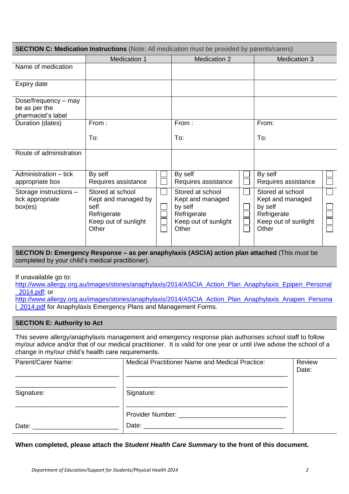| <b>SECTION C: Medication Instructions</b> (Note: All medication must be provided by parents/carers) |                                                                                                 |  |                                                                                                 |  |                                                                                                 |  |  |
|-----------------------------------------------------------------------------------------------------|-------------------------------------------------------------------------------------------------|--|-------------------------------------------------------------------------------------------------|--|-------------------------------------------------------------------------------------------------|--|--|
|                                                                                                     | Medication 1                                                                                    |  | <b>Medication 2</b>                                                                             |  | <b>Medication 3</b>                                                                             |  |  |
| Name of medication                                                                                  |                                                                                                 |  |                                                                                                 |  |                                                                                                 |  |  |
| Expiry date                                                                                         |                                                                                                 |  |                                                                                                 |  |                                                                                                 |  |  |
| Dose/frequency – may<br>be as per the<br>pharmacist's label                                         |                                                                                                 |  |                                                                                                 |  |                                                                                                 |  |  |
| Duration (dates)                                                                                    | From:<br>To:                                                                                    |  | From:<br>To:                                                                                    |  | From:<br>To:                                                                                    |  |  |
| Route of administration                                                                             |                                                                                                 |  |                                                                                                 |  |                                                                                                 |  |  |
| Administration – tick<br>appropriate box                                                            | By self<br>Requires assistance                                                                  |  | By self<br>Requires assistance                                                                  |  | By self<br>Requires assistance                                                                  |  |  |
| Storage instructions -<br>tick appropriate<br>box(es)                                               | Stored at school<br>Kept and managed by<br>self<br>Refrigerate<br>Keep out of sunlight<br>Other |  | Stored at school<br>Kept and managed<br>by self<br>Refrigerate<br>Keep out of sunlight<br>Other |  | Stored at school<br>Kept and managed<br>by self<br>Refrigerate<br>Keep out of sunlight<br>Other |  |  |

**SECTION D: Emergency Response – as per anaphylaxis (ASCIA) action plan attached** (This must be completed by your child's medical practitioner).

If unavailable go to:

[http://www.allergy.org.au/images/stories/anaphylaxis/2014/ASCIA\\_Action\\_Plan\\_Anaphylaxis\\_Epipen\\_Personal](http://www.allergy.org.au/images/stories/anaphylaxis/2014/ASCIA_Action_Plan_Anaphylaxis_Epipen_Personal_2014.pdf) [\\_2014.pdf;](http://www.allergy.org.au/images/stories/anaphylaxis/2014/ASCIA_Action_Plan_Anaphylaxis_Epipen_Personal_2014.pdf) or

[http://www.allergy.org.au/images/stories/anaphylaxis/2014/ASCIA\\_Action\\_Plan\\_Anaphylaxis\\_Anapen\\_Persona](http://www.allergy.org.au/images/stories/anaphylaxis/2014/ASCIA_Action_Plan_Anaphylaxis_Anapen_Personal_2014.pdf) l 2014.pdf for Anaphylaxis Emergency Plans and Management Forms.

## **SECTION E: Authority to Act**

This severe allergy/anaphylaxis management and emergency response plan authorises school staff to follow my/our advice and/or that of our medical practitioner. It is valid for one year or until I/we advise the school of a change in my/our child's health care requirements.

| Parent/Carer Name:                                                                                                                                                                                                             | <b>Medical Practitioner Name and Medical Practice:</b>                                                                                                                                                                         | Review<br>Date: |
|--------------------------------------------------------------------------------------------------------------------------------------------------------------------------------------------------------------------------------|--------------------------------------------------------------------------------------------------------------------------------------------------------------------------------------------------------------------------------|-----------------|
|                                                                                                                                                                                                                                |                                                                                                                                                                                                                                |                 |
| Signature:                                                                                                                                                                                                                     | Signature:                                                                                                                                                                                                                     |                 |
|                                                                                                                                                                                                                                | Provider Number: ______________________________                                                                                                                                                                                |                 |
| Date: the contract of the contract of the contract of the contract of the contract of the contract of the contract of the contract of the contract of the contract of the contract of the contract of the contract of the cont | Date: the contract of the contract of the contract of the contract of the contract of the contract of the contract of the contract of the contract of the contract of the contract of the contract of the contract of the cont |                 |

**When completed, please attach the** *Student Health Care Summary* **to the front of this document.**